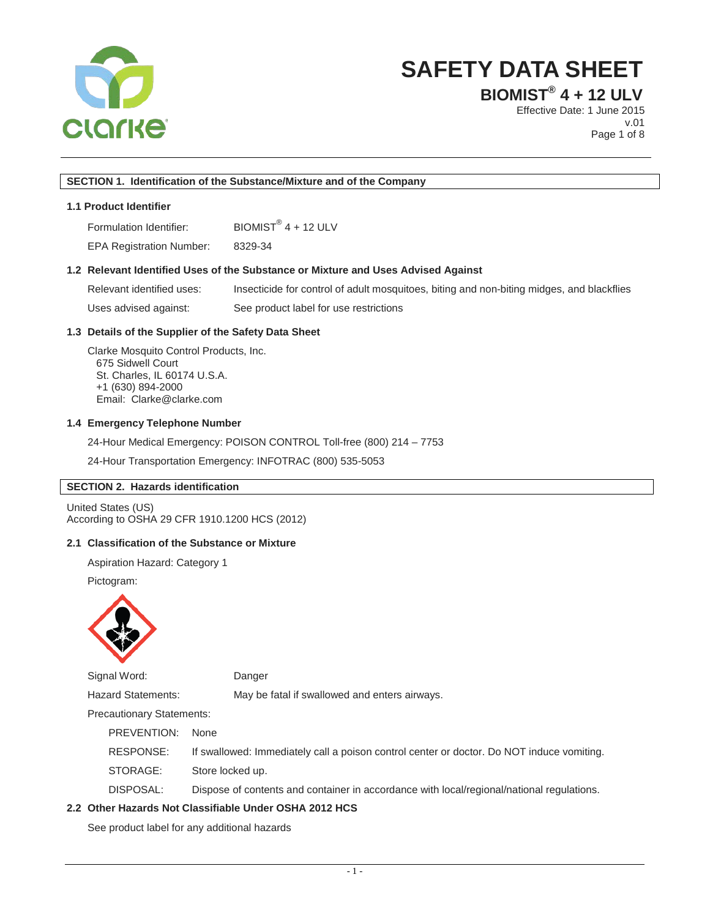

**BIOMIST® 4 + 12 ULV**

Effective Date: 1 June 2015 v.01 Page 1 of 8

#### **SECTION 1. Identification of the Substance/Mixture and of the Company**

# **1.1 Product Identifier**

Formulation Identifier: BIOMIST<sup>®</sup> 4 + 12 ULV

EPA Registration Number: 8329-34

#### **1.2 Relevant Identified Uses of the Substance or Mixture and Uses Advised Against**

Relevant identified uses: Insecticide for control of adult mosquitoes, biting and non-biting midges, and blackflies Uses advised against: See product label for use restrictions

### **1.3 Details of the Supplier of the Safety Data Sheet**

Clarke Mosquito Control Products, Inc. 675 Sidwell Court St. Charles, IL 60174 U.S.A. +1 (630) 894-2000 Email: Clarke@clarke.com

#### **1.4 Emergency Telephone Number**

24-Hour Medical Emergency: POISON CONTROL Toll-free (800) 214 – 7753

24-Hour Transportation Emergency: INFOTRAC (800) 535-5053

#### **SECTION 2. Hazards identification**

United States (US) According to OSHA 29 CFR 1910.1200 HCS (2012)

# **2.1 Classification of the Substance or Mixture**

Aspiration Hazard: Category 1

Pictogram:



Signal Word: Danger

Hazard Statements: May be fatal if swallowed and enters airways.

Precautionary Statements:

PREVENTION:None

RESPONSE: If swallowed: Immediately call a poison control center or doctor. Do NOT induce vomiting.

STORAGE: Store locked up.

DISPOSAL: Dispose of contents and container in accordance with local/regional/national regulations.

#### **2.2 Other Hazards Not Classifiable Under OSHA 2012 HCS**

See product label for any additional hazards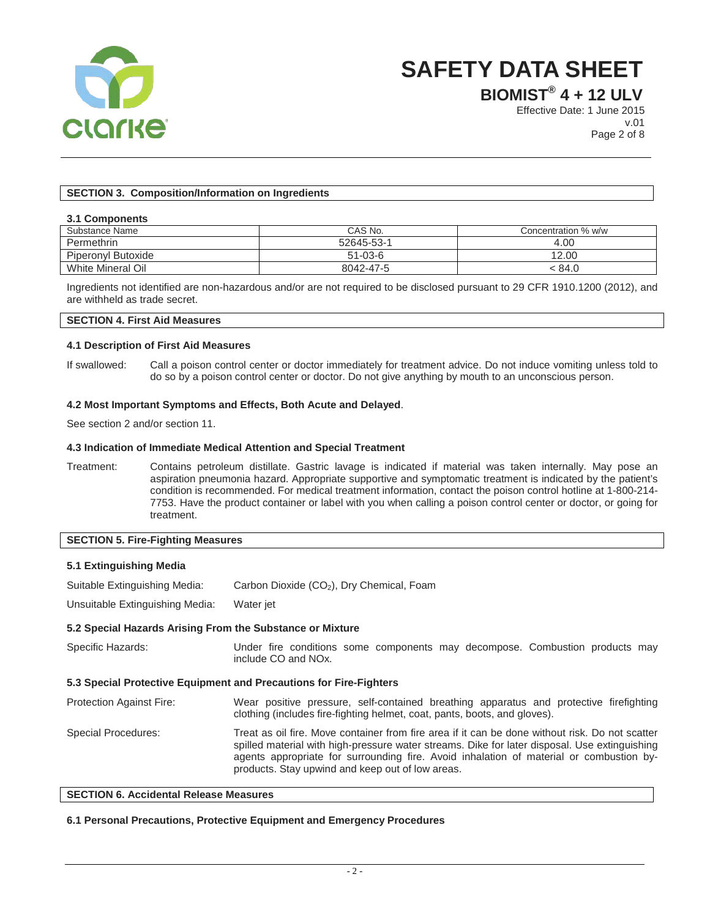

**BIOMIST® 4 + 12 ULV**

Effective Date: 1 June 2015 v.01 Page 2 of 8

# **SECTION 3. Composition/Information on Ingredients**

#### **3.1 Components**

| Substance Name     | CAS No.       | Concentration % w/w |
|--------------------|---------------|---------------------|
| Permethrin         | 52645-53-1    | 4.00                |
| Piperonyl Butoxide | $51 - 03 - 6$ | 12.00               |
| White Mineral Oil  | 8042-47-5     | < 84.0              |

Ingredients not identified are non-hazardous and/or are not required to be disclosed pursuant to 29 CFR 1910.1200 (2012), and are withheld as trade secret.

# **SECTION 4. First Aid Measures**

#### **4.1 Description of First Aid Measures**

If swallowed: Call a poison control center or doctor immediately for treatment advice. Do not induce vomiting unless told to do so by a poison control center or doctor. Do not give anything by mouth to an unconscious person.

#### **4.2 Most Important Symptoms and Effects, Both Acute and Delayed**.

See section 2 and/or section 11.

#### **4.3 Indication of Immediate Medical Attention and Special Treatment**

Treatment: Contains petroleum distillate. Gastric lavage is indicated if material was taken internally. May pose an aspiration pneumonia hazard. Appropriate supportive and symptomatic treatment is indicated by the patient's condition is recommended. For medical treatment information, contact the poison control hotline at 1-800-214- 7753. Have the product container or label with you when calling a poison control center or doctor, or going for treatment.

#### **SECTION 5. Fire-Fighting Measures**

#### **5.1 Extinguishing Media**

Suitable Extinguishing Media: Carbon Dioxide (CO<sub>2</sub>), Dry Chemical, Foam

Unsuitable Extinguishing Media: Water jet

#### **5.2 Special Hazards Arising From the Substance or Mixture**

| Specific Hazards:                                                  | Under fire conditions some components may decompose. Combustion products may<br>include CO and NO <sub>x</sub> .                                                                                                                                                                                                                                |  |  |  |  |
|--------------------------------------------------------------------|-------------------------------------------------------------------------------------------------------------------------------------------------------------------------------------------------------------------------------------------------------------------------------------------------------------------------------------------------|--|--|--|--|
| 5.3 Special Protective Equipment and Precautions for Fire-Fighters |                                                                                                                                                                                                                                                                                                                                                 |  |  |  |  |
| <b>Protection Against Fire:</b>                                    | Wear positive pressure, self-contained breathing apparatus and protective firefighting<br>clothing (includes fire-fighting helmet, coat, pants, boots, and gloves).                                                                                                                                                                             |  |  |  |  |
| <b>Special Procedures:</b>                                         | Treat as oil fire. Move container from fire area if it can be done without risk. Do not scatter<br>spilled material with high-pressure water streams. Dike for later disposal. Use extinguishing<br>agents appropriate for surrounding fire. Avoid inhalation of material or combustion by-<br>products. Stay upwind and keep out of low areas. |  |  |  |  |

#### **SECTION 6. Accidental Release Measures**

#### **6.1 Personal Precautions, Protective Equipment and Emergency Procedures**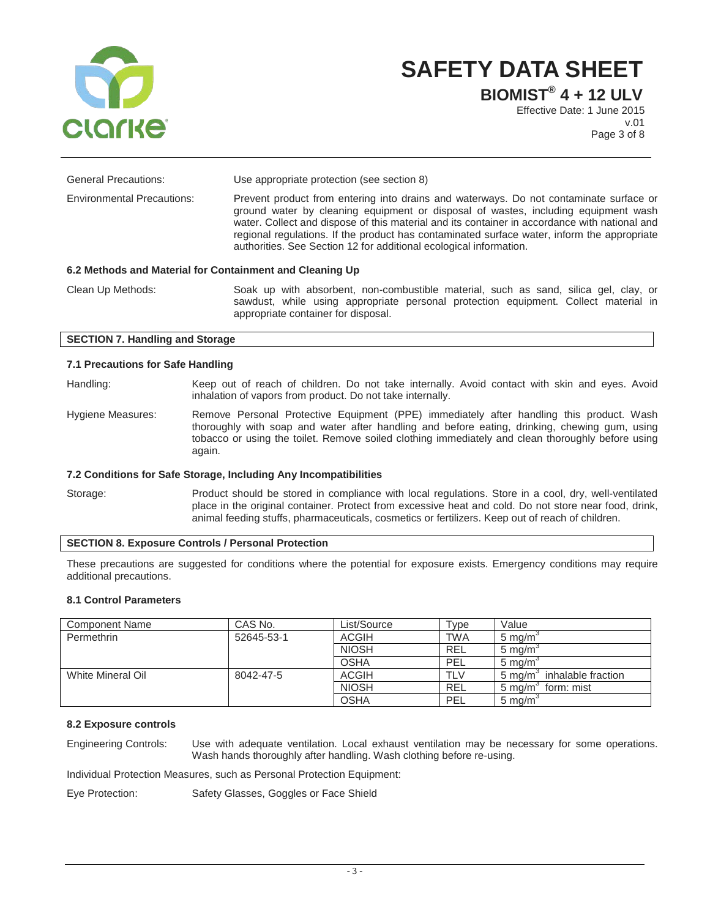

**BIOMIST® 4 + 12 ULV** Effective Date: 1 June 2015

v.01 Page 3 of 8

| <b>General Precautions:</b>                              | Use appropriate protection (see section 8)                                                                                                                                                                                                                                                                                                                                                                                                         |  |
|----------------------------------------------------------|----------------------------------------------------------------------------------------------------------------------------------------------------------------------------------------------------------------------------------------------------------------------------------------------------------------------------------------------------------------------------------------------------------------------------------------------------|--|
| <b>Environmental Precautions:</b>                        | Prevent product from entering into drains and waterways. Do not contaminate surface or<br>ground water by cleaning equipment or disposal of wastes, including equipment wash<br>water. Collect and dispose of this material and its container in accordance with national and<br>regional regulations. If the product has contaminated surface water, inform the appropriate<br>authorities. See Section 12 for additional ecological information. |  |
| 6.2 Methods and Material for Containment and Cleaning Up |                                                                                                                                                                                                                                                                                                                                                                                                                                                    |  |
| Clean Up Methods:                                        | Soak up with absorbent, non-combustible material, such as sand, silica gel, clay, or                                                                                                                                                                                                                                                                                                                                                               |  |

sawdust, while using appropriate personal protection equipment. Collect material in appropriate container for disposal.

# **SECTION 7. Handling and Storage**

#### **7.1 Precautions for Safe Handling**

Handling: Keep out of reach of children. Do not take internally. Avoid contact with skin and eyes. Avoid inhalation of vapors from product. Do not take internally.

Hygiene Measures: Remove Personal Protective Equipment (PPE) immediately after handling this product. Wash thoroughly with soap and water after handling and before eating, drinking, chewing gum, using tobacco or using the toilet. Remove soiled clothing immediately and clean thoroughly before using again.

#### **7.2 Conditions for Safe Storage, Including Any Incompatibilities**

Storage: Product should be stored in compliance with local regulations. Store in a cool, dry, well-ventilated place in the original container. Protect from excessive heat and cold. Do not store near food, drink, animal feeding stuffs, pharmaceuticals, cosmetics or fertilizers. Keep out of reach of children.

# **SECTION 8. Exposure Controls / Personal Protection**

These precautions are suggested for conditions where the potential for exposure exists. Emergency conditions may require additional precautions.

### **8.1 Control Parameters**

| <b>Component Name</b> | CAS No.    | List/Source  | Type       | Value                                  |
|-----------------------|------------|--------------|------------|----------------------------------------|
| Permethrin            | 52645-53-1 | <b>ACGIH</b> | <b>TWA</b> | $5 \text{ ma/m}$                       |
|                       |            | <b>NIOSH</b> | <b>REL</b> | $5 \text{ ma/m}$                       |
|                       |            | <b>OSHA</b>  | PEL        | $5 \text{ ma/m}$                       |
| White Mineral Oil     | 8042-47-5  | <b>ACGIH</b> | <b>TLV</b> | inhalable fraction<br>$5 \text{ ma/m}$ |
|                       |            | <b>NIOSH</b> | <b>REL</b> | 5 mg/m <sup>3</sup><br>form: mist      |
|                       |            | <b>OSHA</b>  | PEL        | $5 \text{ mg/m}$                       |

# **8.2 Exposure controls**

Engineering Controls: Use with adequate ventilation. Local exhaust ventilation may be necessary for some operations. Wash hands thoroughly after handling. Wash clothing before re-using.

Individual Protection Measures, such as Personal Protection Equipment:

Eye Protection: Safety Glasses, Goggles or Face Shield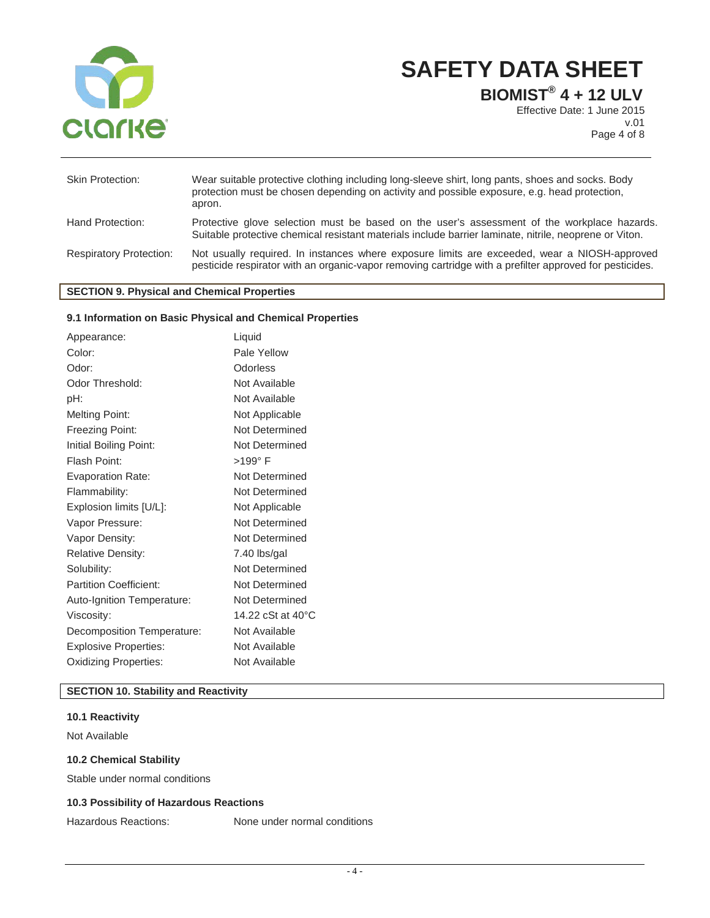

**BIOMIST® 4 + 12 ULV**

Effective Date: 1 June 2015 v.01 Page 4 of 8

| <b>Skin Protection:</b>        | Wear suitable protective clothing including long-sleeve shirt, long pants, shoes and socks. Body<br>protection must be chosen depending on activity and possible exposure, e.g. head protection,<br>apron. |
|--------------------------------|------------------------------------------------------------------------------------------------------------------------------------------------------------------------------------------------------------|
| Hand Protection:               | Protective glove selection must be based on the user's assessment of the workplace hazards.<br>Suitable protective chemical resistant materials include barrier laminate, nitrile, neoprene or Viton.      |
| <b>Respiratory Protection:</b> | Not usually required. In instances where exposure limits are exceeded, wear a NIOSH-approved<br>pesticide respirator with an organic-vapor removing cartridge with a prefilter approved for pesticides.    |

# **SECTION 9. Physical and Chemical Properties**

# **9.1 Information on Basic Physical and Chemical Properties**

| Color:<br>Odorless<br>Odor:<br>Odor Threshold: | Pale Yellow<br>Not Available<br>Not Available |
|------------------------------------------------|-----------------------------------------------|
|                                                |                                               |
|                                                |                                               |
|                                                |                                               |
| pH:                                            |                                               |
| <b>Melting Point:</b><br>Not Applicable        |                                               |
| Freezing Point:                                | Not Determined                                |
| Initial Boiling Point:                         | Not Determined                                |
| $>199^\circ$ F<br>Flash Point:                 |                                               |
| <b>Evaporation Rate:</b>                       | Not Determined                                |
| Flammability:                                  | Not Determined                                |
| Explosion limits [U/L]:                        | Not Applicable                                |
| Vapor Pressure:                                | Not Determined                                |
| Vapor Density:                                 | Not Determined                                |
| <b>Relative Density:</b>                       | 7.40 lbs/gal                                  |
| Solubility:                                    | Not Determined                                |
| <b>Partition Coefficient:</b>                  | Not Determined                                |
| Auto-Ignition Temperature:                     | Not Determined                                |
| Viscosity:                                     | 14.22 cSt at 40°C                             |
| Decomposition Temperature:                     | Not Available                                 |
| <b>Explosive Properties:</b>                   | Not Available                                 |
| <b>Oxidizing Properties:</b>                   | Not Available                                 |

# **SECTION 10. Stability and Reactivity**

# **10.1 Reactivity**

Not Available

### **10.2 Chemical Stability**

Stable under normal conditions

# **10.3 Possibility of Hazardous Reactions**

Hazardous Reactions: None under normal conditions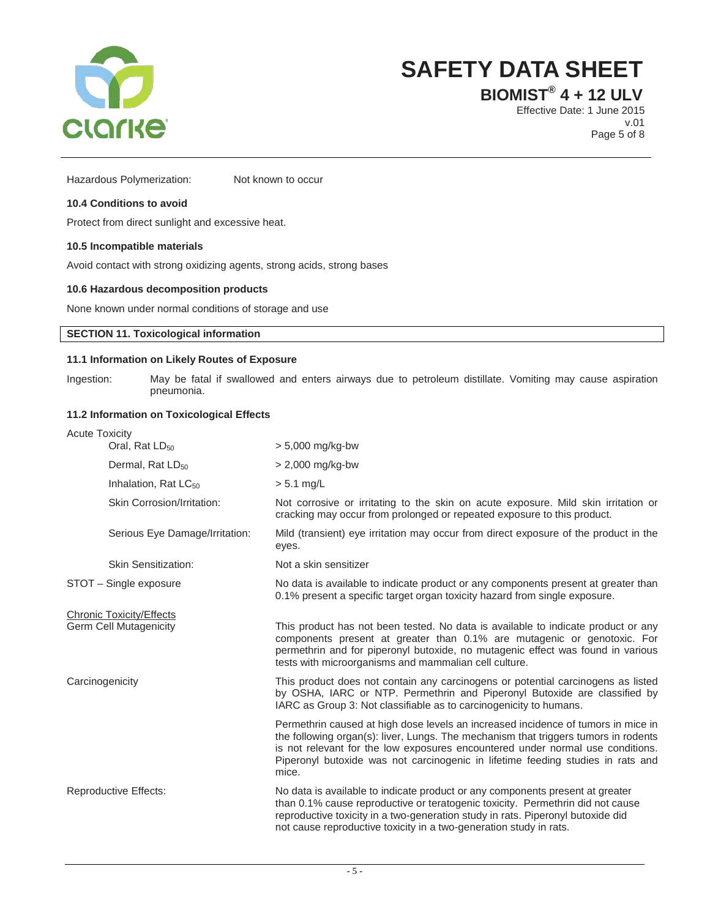

**BIOMIST® 4 + 12 ULV**

Effective Date: 1 June 2015 v.01 Page 5 of 8

Hazardous Polymerization: Not known to occur

# **10.4 Conditions to avoid**

Protect from direct sunlight and excessive heat.

#### **10.5 Incompatible materials**

Avoid contact with strong oxidizing agents, strong acids, strong bases

#### **10.6 Hazardous decomposition products**

None known under normal conditions of storage and use

# **SECTION 11. Toxicological information**

### **11.1 Information on Likely Routes of Exposure**

Ingestion: May be fatal if swallowed and enters airways due to petroleum distillate. Vomiting may cause aspiration pneumonia.

# **11.2 Information on Toxicological Effects**

| <b>Acute Toxicity</b>                                            |                                   |                                                                                                                                                                                                                                                                                                                                                        |  |  |
|------------------------------------------------------------------|-----------------------------------|--------------------------------------------------------------------------------------------------------------------------------------------------------------------------------------------------------------------------------------------------------------------------------------------------------------------------------------------------------|--|--|
| Oral, Rat LD <sub>50</sub><br>Dermal, Rat LD <sub>50</sub>       |                                   | $> 5,000$ mg/kg-bw                                                                                                                                                                                                                                                                                                                                     |  |  |
|                                                                  |                                   | $> 2,000$ mg/kg-bw                                                                                                                                                                                                                                                                                                                                     |  |  |
|                                                                  | Inhalation, Rat LC <sub>50</sub>  | $> 5.1$ mg/L                                                                                                                                                                                                                                                                                                                                           |  |  |
|                                                                  | <b>Skin Corrosion/Irritation:</b> | Not corrosive or irritating to the skin on acute exposure. Mild skin irritation or<br>cracking may occur from prolonged or repeated exposure to this product.                                                                                                                                                                                          |  |  |
|                                                                  | Serious Eye Damage/Irritation:    | Mild (transient) eye irritation may occur from direct exposure of the product in the<br>eyes.                                                                                                                                                                                                                                                          |  |  |
|                                                                  | <b>Skin Sensitization:</b>        | Not a skin sensitizer                                                                                                                                                                                                                                                                                                                                  |  |  |
| STOT - Single exposure                                           |                                   | No data is available to indicate product or any components present at greater than<br>0.1% present a specific target organ toxicity hazard from single exposure.                                                                                                                                                                                       |  |  |
| <b>Chronic Toxicity/Effects</b><br><b>Germ Cell Mutagenicity</b> |                                   | This product has not been tested. No data is available to indicate product or any<br>components present at greater than 0.1% are mutagenic or genotoxic. For<br>permethrin and for piperonyl butoxide, no mutagenic effect was found in various<br>tests with microorganisms and mammalian cell culture.                                               |  |  |
| Carcinogenicity                                                  |                                   | This product does not contain any carcinogens or potential carcinogens as listed<br>by OSHA, IARC or NTP. Permethrin and Piperonyl Butoxide are classified by<br>IARC as Group 3: Not classifiable as to carcinogenicity to humans.                                                                                                                    |  |  |
|                                                                  |                                   | Permethrin caused at high dose levels an increased incidence of tumors in mice in<br>the following organ(s): liver, Lungs. The mechanism that triggers tumors in rodents<br>is not relevant for the low exposures encountered under normal use conditions.<br>Piperonyl butoxide was not carcinogenic in lifetime feeding studies in rats and<br>mice. |  |  |
| Reproductive Effects:                                            |                                   | No data is available to indicate product or any components present at greater<br>than 0.1% cause reproductive or teratogenic toxicity. Permethrin did not cause<br>reproductive toxicity in a two-generation study in rats. Piperonyl butoxide did<br>not cause reproductive toxicity in a two-generation study in rats.                               |  |  |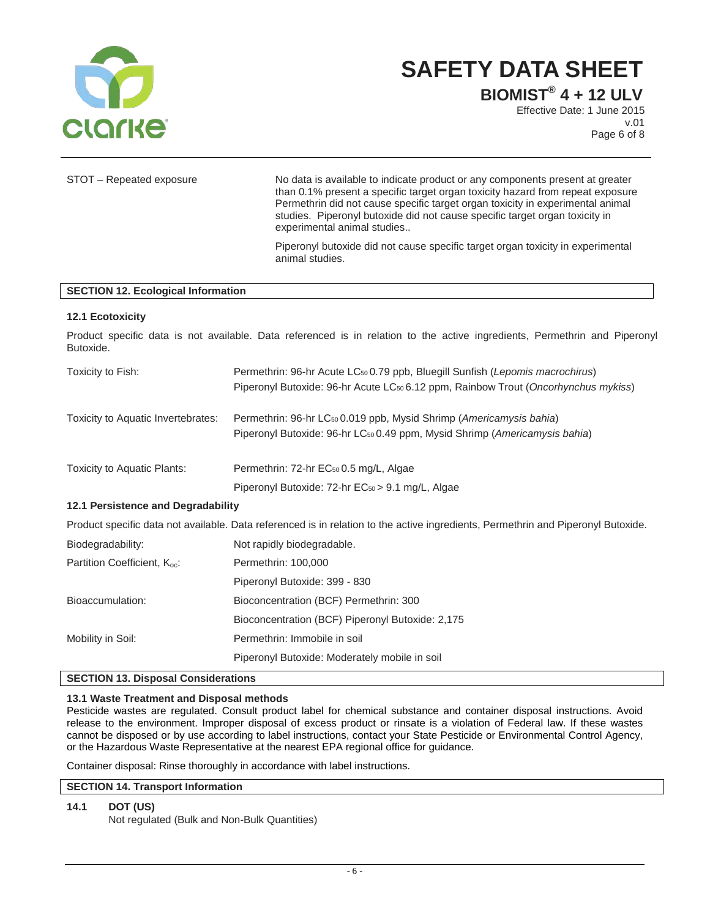

**BIOMIST® 4 + 12 ULV**

Effective Date: 1 June 2015 v.01 Page 6 of 8

| STOT - Repeated exposure                  | No data is available to indicate product or any components present at greater<br>than 0.1% present a specific target organ toxicity hazard from repeat exposure<br>Permethrin did not cause specific target organ toxicity in experimental animal<br>studies. Piperonyl butoxide did not cause specific target organ toxicity in<br>experimental animal studies |  |  |
|-------------------------------------------|-----------------------------------------------------------------------------------------------------------------------------------------------------------------------------------------------------------------------------------------------------------------------------------------------------------------------------------------------------------------|--|--|
|                                           | Piperonyl butoxide did not cause specific target organ toxicity in experimental<br>animal studies.                                                                                                                                                                                                                                                              |  |  |
| <b>SECTION 12. Ecological Information</b> |                                                                                                                                                                                                                                                                                                                                                                 |  |  |
| 12.1 Ecotoxicity                          |                                                                                                                                                                                                                                                                                                                                                                 |  |  |
| Butoxide.                                 | Product specific data is not available. Data referenced is in relation to the active ingredients, Permethrin and Piperonyl                                                                                                                                                                                                                                      |  |  |
| Toxicity to Fish:                         | Permethrin: 96-hr Acute LC <sub>50</sub> 0.79 ppb, Bluegill Sunfish (Lepomis macrochirus)<br>Piperonyl Butoxide: 96-hr Acute LC <sub>50</sub> 6.12 ppm, Rainbow Trout (Oncorhynchus mykiss)                                                                                                                                                                     |  |  |
| Toxicity to Aquatic Invertebrates:        | Permethrin: 96-hr LC <sub>50</sub> 0.019 ppb, Mysid Shrimp (Americamysis bahia)<br>Piperonyl Butoxide: 96-hr LC <sub>50</sub> 0.49 ppm, Mysid Shrimp (Americamysis bahia)                                                                                                                                                                                       |  |  |
| Toxicity to Aquatic Plants:               | Permethrin: 72-hr EC <sub>50</sub> 0.5 mg/L, Algae                                                                                                                                                                                                                                                                                                              |  |  |
|                                           | Piperonyl Butoxide: 72-hr EC <sub>50</sub> > 9.1 mg/L, Algae                                                                                                                                                                                                                                                                                                    |  |  |
| 12.1 Persistence and Degradability        |                                                                                                                                                                                                                                                                                                                                                                 |  |  |
|                                           | Product specific data not available. Data referenced is in relation to the active ingredients, Permethrin and Piperonyl Butoxide.                                                                                                                                                                                                                               |  |  |
| Biodegradability:                         | Not rapidly biodegradable.                                                                                                                                                                                                                                                                                                                                      |  |  |
| Partition Coefficient, K <sub>oc</sub> :  | Permethrin: 100,000                                                                                                                                                                                                                                                                                                                                             |  |  |
|                                           | Piperonyl Butoxide: 399 - 830                                                                                                                                                                                                                                                                                                                                   |  |  |
| Bioaccumulation:                          | Bioconcentration (BCF) Permethrin: 300                                                                                                                                                                                                                                                                                                                          |  |  |
|                                           | Bioconcentration (BCF) Piperonyl Butoxide: 2,175                                                                                                                                                                                                                                                                                                                |  |  |
| Mobility in Soil:                         | Permethrin: Immobile in soil                                                                                                                                                                                                                                                                                                                                    |  |  |

# **SECTION 13. Disposal Considerations**

# **13.1 Waste Treatment and Disposal methods**

Pesticide wastes are regulated. Consult product label for chemical substance and container disposal instructions. Avoid release to the environment. Improper disposal of excess product or rinsate is a violation of Federal law. If these wastes cannot be disposed or by use according to label instructions, contact your State Pesticide or Environmental Control Agency, or the Hazardous Waste Representative at the nearest EPA regional office for guidance.

Piperonyl Butoxide: Moderately mobile in soil

Container disposal: Rinse thoroughly in accordance with label instructions.

#### **SECTION 14. Transport Information**

# **14.1 DOT (US)**

Not regulated (Bulk and Non-Bulk Quantities)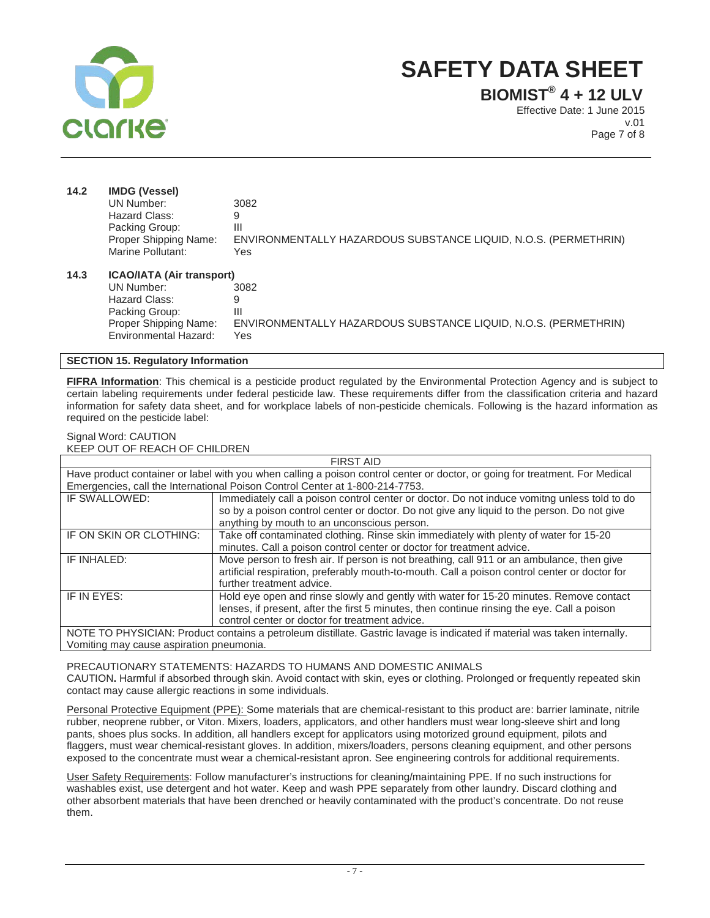

**BIOMIST® 4 + 12 ULV**

Effective Date: 1 June 2015 v.01 Page 7 of 8

| 14.2 | <b>IMDG (Vessel)</b>             |                                                                 |  |
|------|----------------------------------|-----------------------------------------------------------------|--|
|      | UN Number:                       | 3082                                                            |  |
|      | Hazard Class:                    | 9                                                               |  |
|      | Packing Group:                   | Ш                                                               |  |
|      | Proper Shipping Name:            | ENVIRONMENTALLY HAZARDOUS SUBSTANCE LIQUID, N.O.S. (PERMETHRIN) |  |
|      | Marine Pollutant:                | Yes                                                             |  |
| 14.3 | <b>ICAO/IATA (Air transport)</b> |                                                                 |  |
|      | UN Number:                       | 3082                                                            |  |
|      | Hazard Class:                    | 9                                                               |  |
|      | Packing Group:                   | Ш                                                               |  |
|      | Proper Shipping Name:            | ENVIRONMENTALLY HAZARDOUS SUBSTANCE LIQUID, N.O.S. (PERMETHRIN) |  |
|      | <b>Environmental Hazard:</b>     | Yes                                                             |  |

# **SECTION 15. Regulatory Information**

**FIFRA Information**: This chemical is a pesticide product regulated by the Environmental Protection Agency and is subject to certain labeling requirements under federal pesticide law. These requirements differ from the classification criteria and hazard information for safety data sheet, and for workplace labels of non-pesticide chemicals. Following is the hazard information as required on the pesticide label:

#### Signal Word: CAUTION KEEP OUT OF REACH OF CHILDREN

| <b>FIRST AID</b>                                                                                                             |                                                                                               |  |  |
|------------------------------------------------------------------------------------------------------------------------------|-----------------------------------------------------------------------------------------------|--|--|
| Have product container or label with you when calling a poison control center or doctor, or going for treatment. For Medical |                                                                                               |  |  |
| Emergencies, call the International Poison Control Center at 1-800-214-7753.                                                 |                                                                                               |  |  |
| IF SWALLOWED:                                                                                                                | Immediately call a poison control center or doctor. Do not induce vomitng unless told to do   |  |  |
|                                                                                                                              | so by a poison control center or doctor. Do not give any liquid to the person. Do not give    |  |  |
|                                                                                                                              | anything by mouth to an unconscious person.                                                   |  |  |
| IF ON SKIN OR CLOTHING:                                                                                                      | Take off contaminated clothing. Rinse skin immediately with plenty of water for 15-20         |  |  |
|                                                                                                                              | minutes. Call a poison control center or doctor for treatment advice.                         |  |  |
| IF INHALED:                                                                                                                  | Move person to fresh air. If person is not breathing, call 911 or an ambulance, then give     |  |  |
|                                                                                                                              | artificial respiration, preferably mouth-to-mouth. Call a poison control center or doctor for |  |  |
|                                                                                                                              | further treatment advice.                                                                     |  |  |
| IF IN EYES:                                                                                                                  | Hold eye open and rinse slowly and gently with water for 15-20 minutes. Remove contact        |  |  |
|                                                                                                                              | lenses, if present, after the first 5 minutes, then continue rinsing the eye. Call a poison   |  |  |
|                                                                                                                              | control center or doctor for treatment advice.                                                |  |  |
| NOTE TO PHYSICIAN: Product contains a petroleum distillate. Gastric lavage is indicated if material was taken internally.    |                                                                                               |  |  |
|                                                                                                                              |                                                                                               |  |  |

Vomiting may cause aspiration pneumonia.

#### PRECAUTIONARY STATEMENTS: HAZARDS TO HUMANS AND DOMESTIC ANIMALS

CAUTION**.** Harmful if absorbed through skin. Avoid contact with skin, eyes or clothing. Prolonged or frequently repeated skin contact may cause allergic reactions in some individuals.

Personal Protective Equipment (PPE): Some materials that are chemical-resistant to this product are: barrier laminate, nitrile rubber, neoprene rubber, or Viton. Mixers, loaders, applicators, and other handlers must wear long-sleeve shirt and long pants, shoes plus socks. In addition, all handlers except for applicators using motorized ground equipment, pilots and flaggers, must wear chemical-resistant gloves. In addition, mixers/loaders, persons cleaning equipment, and other persons exposed to the concentrate must wear a chemical-resistant apron. See engineering controls for additional requirements.

User Safety Requirements: Follow manufacturer's instructions for cleaning/maintaining PPE. If no such instructions for washables exist, use detergent and hot water. Keep and wash PPE separately from other laundry. Discard clothing and other absorbent materials that have been drenched or heavily contaminated with the product's concentrate. Do not reuse them.